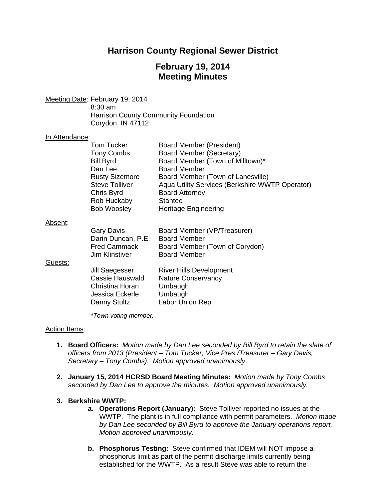# **Harrison County Regional Sewer District**

# **February 19, 2014 Meeting Minutes**

Meeting Date: February 19, 2014 8:30 am Harrison County Community Foundation Corydon, IN 47112

#### In Attendance:

|         | <b>Tom Tucker</b><br>Tony Combs<br><b>Bill Byrd</b><br>Dan Lee<br><b>Rusty Sizemore</b><br><b>Steve Tolliver</b><br>Chris Byrd<br>Rob Huckaby<br><b>Bob Woosley</b> | <b>Board Member (President)</b><br>Board Member (Secretary)<br>Board Member (Town of Milltown)*<br><b>Board Member</b><br>Board Member (Town of Lanesville)<br>Aqua Utility Services (Berkshire WWTP Operator)<br><b>Board Attorney</b><br><b>Stantec</b><br><b>Heritage Engineering</b> |
|---------|---------------------------------------------------------------------------------------------------------------------------------------------------------------------|------------------------------------------------------------------------------------------------------------------------------------------------------------------------------------------------------------------------------------------------------------------------------------------|
| Absent: | Gary Davis<br>Darin Duncan, P.E.<br><b>Fred Cammack</b><br><b>Jim Klinstiver</b>                                                                                    | Board Member (VP/Treasurer)<br><b>Board Member</b><br>Board Member (Town of Corydon)<br><b>Board Member</b>                                                                                                                                                                              |
| Guests: | Jill Saegesser<br>Cassie Hauswald<br>Christina Horan<br>Jessica Eckerle<br>Danny Stultz                                                                             | <b>River Hills Development</b><br><b>Nature Conservancy</b><br>Umbaugh<br>Umbaugh<br>Labor Union Rep.                                                                                                                                                                                    |

*\*Town voting member.*

## Action Items:

- **1. Board Officers:** *Motion made by Dan Lee seconded by Bill Byrd to retain the slate of officers from 2013 (President – Tom Tucker, Vice Pres./Treasurer – Gary Davis, Secretary – Tony Combs). Motion approved unanimously*.
- **2. January 15, 2014 HCRSD Board Meeting Minutes:** *Motion made by Tony Combs seconded by Dan Lee to approve the minutes. Motion approved unanimously.*

#### **3. Berkshire WWTP:**

- **a. Operations Report (January):** Steve Tolliver reported no issues at the WWTP. The plant is in full compliance with permit parameters. *Motion made by Dan Lee seconded by Bill Byrd to approve the January operations report. Motion approved unanimously.*
- **b. Phosphorus Testing:** Steve confirmed that IDEM will NOT impose a phosphorus limit as part of the permit discharge limits currently being established for the WWTP. As a result Steve was able to return the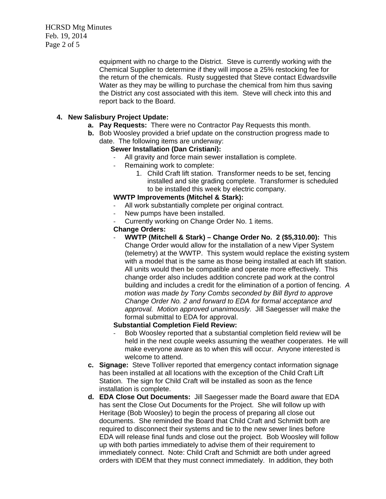HCRSD Mtg Minutes Feb. 19, 2014 Page 2 of 5

> equipment with no charge to the District. Steve is currently working with the Chemical Supplier to determine if they will impose a 25% restocking fee for the return of the chemicals.Rusty suggested that Steve contact Edwardsville Water as they may be willing to purchase the chemical from him thus saving the District any cost associated with this item. Steve will check into this and report back to the Board.

# **4. New Salisbury Project Update:**

- **a. Pay Requests:** There were no Contractor Pay Requests this month.
- **b.** Bob Woosley provided a brief update on the construction progress made to date. The following items are underway:

## **Sewer Installation (Dan Cristiani):**

- All gravity and force main sewer installation is complete.
- Remaining work to complete:
	- 1. Child Craft lift station. Transformer needs to be set, fencing installed and site grading complete. Transformer is scheduled to be installed this week by electric company.

## **WWTP Improvements (Mitchel & Stark):**

- All work substantially complete per original contract.
- New pumps have been installed.
- Currently working on Change Order No. 1 items.

## **Change Orders:**

- **WWTP (Mitchell & Stark) – Change Order No. 2 (\$5,310.00):** This Change Order would allow for the installation of a new Viper System (telemetry) at the WWTP. This system would replace the existing system with a model that is the same as those being installed at each lift station. All units would then be compatible and operate more effectively. This change order also includes addition concrete pad work at the control building and includes a credit for the elimination of a portion of fencing. *A motion was made by Tony Combs seconded by Bill Byrd to approve Change Order No. 2 and forward to EDA for formal acceptance and approval. Motion approved unanimously.* Jill Saegesser will make the formal submittal to EDA for approval.

# **Substantial Completion Field Review:**

- Bob Woosley reported that a substantial completion field review will be held in the next couple weeks assuming the weather cooperates. He will make everyone aware as to when this will occur. Anyone interested is welcome to attend.
- **c. Signage:** Steve Tolliver reported that emergency contact information signage has been installed at all locations with the exception of the Child Craft Lift Station. The sign for Child Craft will be installed as soon as the fence installation is complete.
- **d. EDA Close Out Documents:** Jill Saegesser made the Board aware that EDA has sent the Close Out Documents for the Project. She will follow up with Heritage (Bob Woosley) to begin the process of preparing all close out documents. She reminded the Board that Child Craft and Schmidt both are required to disconnect their systems and tie to the new sewer lines before EDA will release final funds and close out the project. Bob Woosley will follow up with both parties immediately to advise them of their requirement to immediately connect. Note: Child Craft and Schmidt are both under agreed orders with IDEM that they must connect immediately. In addition, they both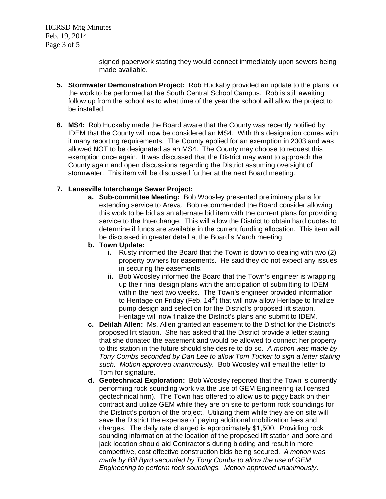HCRSD Mtg Minutes Feb. 19, 2014 Page 3 of 5

> signed paperwork stating they would connect immediately upon sewers being made available.

- **5. Stormwater Demonstration Project:**Rob Huckaby provided an update to the plans for the work to be performed at the South Central School Campus. Rob is still awaiting follow up from the school as to what time of the year the school will allow the project to be installed.
- **6. MS4:**Rob Huckaby made the Board aware that the County was recently notified by IDEM that the County will now be considered an MS4. With this designation comes with it many reporting requirements. The County applied for an exemption in 2003 and was allowed NOT to be designated as an MS4. The County may choose to request this exemption once again. It was discussed that the District may want to approach the County again and open discussions regarding the District assuming oversight of stormwater. This item will be discussed further at the next Board meeting.

## **7. Lanesville Interchange Sewer Project:**

**a. Sub-committee Meeting:** Bob Woosley presented preliminary plans for extending service to Areva. Bob recommended the Board consider allowing this work to be bid as an alternate bid item with the current plans for providing service to the Interchange. This will allow the District to obtain hard quotes to determine if funds are available in the current funding allocation. This item will be discussed in greater detail at the Board's March meeting.

#### **b. Town Update:**

- **i.** Rusty informed the Board that the Town is down to dealing with two (2) property owners for easements. He said they do not expect any issues in securing the easements.
- **ii.** Bob Woosley informed the Board that the Town's engineer is wrapping up their final design plans with the anticipation of submitting to IDEM within the next two weeks. The Town's engineer provided information to Heritage on Friday (Feb.  $14<sup>th</sup>$ ) that will now allow Heritage to finalize pump design and selection for the District's proposed lift station. Heritage will now finalize the District's plans and submit to IDEM.
- **c. Delilah Allen:** Ms. Allen granted an easement to the District for the District's proposed lift station. She has asked that the District provide a letter stating that she donated the easement and would be allowed to connect her property to this station in the future should she desire to do so. *A motion was made by Tony Combs seconded by Dan Lee to allow Tom Tucker to sign a letter stating such. Motion approved unanimously.* Bob Woosley will email the letter to Tom for signature.
- **d. Geotechnical Exploration:** Bob Woosley reported that the Town is currently performing rock sounding work via the use of GEM Engineering (a licensed geotechnical firm). The Town has offered to allow us to piggy back on their contract and utilize GEM while they are on site to perform rock soundings for the District's portion of the project. Utilizing them while they are on site will save the District the expense of paying additional mobilization fees and charges. The daily rate charged is approximately \$1,500. Providing rock sounding information at the location of the proposed lift station and bore and jack location should aid Contractor's during bidding and result in more competitive, cost effective construction bids being secured. *A motion was made by Bill Byrd seconded by Tony Combs to allow the use of GEM Engineering to perform rock soundings. Motion approved unanimously*.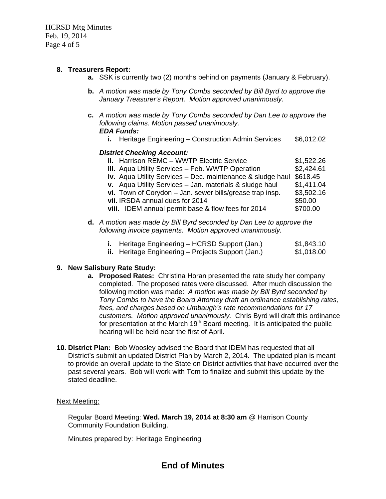HCRSD Mtg Minutes Feb. 19, 2014 Page 4 of 5

# **8. Treasurers Report:**

- **a.** SSK is currently two (2) months behind on payments (January & February).
- **b.** *A motion was made by Tony Combs seconded by Bill Byrd to approve the January Treasurer's Report. Motion approved unanimously.*
- **c.** *A motion was made by Tony Combs seconded by Dan Lee to approve the following claims. Motion passed unanimously. EDA Funds:*
	- **i.** Heritage Engineering Construction Admin Services \$6,012.02

## *District Checking Account:*

| <b>ii.</b> Harrison REMC - WWTP Electric Service           | \$1,522.26 |
|------------------------------------------------------------|------------|
| iii. Aqua Utility Services - Feb. WWTP Operation           | \$2,424.61 |
| iv. Aqua Utility Services - Dec. maintenance & sludge haul | \$618.45   |
| v. Aqua Utility Services - Jan. materials & sludge haul    | \$1,411.04 |
| vi. Town of Corydon $-$ Jan. sewer bills/grease trap insp. | \$3,502.16 |
| vii. IRSDA annual dues for 2014                            | \$50.00    |
| viii. IDEM annual permit base & flow fees for 2014         | \$700.00   |
|                                                            |            |

**d.** *A motion was made by Bill Byrd seconded by Dan Lee to approve the following invoice payments. Motion approved unanimously.*

| <b>i.</b> Heritage Engineering – HCRSD Support (Jan.)     | \$1,843.10 |
|-----------------------------------------------------------|------------|
| <b>ii.</b> Heritage Engineering – Projects Support (Jan.) | \$1,018.00 |

## **9. New Salisbury Rate Study:**

- **a. Proposed Rates:** Christina Horan presented the rate study her company completed. The proposed rates were discussed. After much discussion the following motion was made: *A motion was made by Bill Byrd seconded by Tony Combs to have the Board Attorney draft an ordinance establishing rates, fees, and charges based on Umbaugh's rate recommendations for 17 customers. Motion approved unanimously.* Chris Byrd will draft this ordinance for presentation at the March  $19<sup>th</sup>$  Board meeting. It is anticipated the public hearing will be held near the first of April.
- **10. District Plan:** Bob Woosley advised the Board that IDEM has requested that all District's submit an updated District Plan by March 2, 2014. The updated plan is meant to provide an overall update to the State on District activities that have occurred over the past several years. Bob will work with Tom to finalize and submit this update by the stated deadline.

#### Next Meeting:

Regular Board Meeting: **Wed. March 19, 2014 at 8:30 am** @ Harrison County Community Foundation Building.

Minutes prepared by: Heritage Engineering